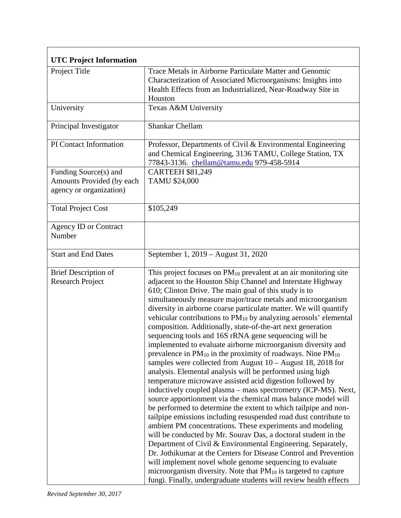| <b>UTC Project Information</b>                                                |                                                                                                                                                                                                                                                                                                                                                                                                                                                                                                                                                                                                                                                                                                                                                                                                                                                                                                                                                                                                                                                                                                                                                                                                                                                                                                                                                                                                                                                                                                                                                                                                                                             |  |
|-------------------------------------------------------------------------------|---------------------------------------------------------------------------------------------------------------------------------------------------------------------------------------------------------------------------------------------------------------------------------------------------------------------------------------------------------------------------------------------------------------------------------------------------------------------------------------------------------------------------------------------------------------------------------------------------------------------------------------------------------------------------------------------------------------------------------------------------------------------------------------------------------------------------------------------------------------------------------------------------------------------------------------------------------------------------------------------------------------------------------------------------------------------------------------------------------------------------------------------------------------------------------------------------------------------------------------------------------------------------------------------------------------------------------------------------------------------------------------------------------------------------------------------------------------------------------------------------------------------------------------------------------------------------------------------------------------------------------------------|--|
| Project Title                                                                 | Trace Metals in Airborne Particulate Matter and Genomic<br>Characterization of Associated Microorganisms: Insights into<br>Health Effects from an Industrialized, Near-Roadway Site in<br>Houston                                                                                                                                                                                                                                                                                                                                                                                                                                                                                                                                                                                                                                                                                                                                                                                                                                                                                                                                                                                                                                                                                                                                                                                                                                                                                                                                                                                                                                           |  |
| University                                                                    | Texas A&M University                                                                                                                                                                                                                                                                                                                                                                                                                                                                                                                                                                                                                                                                                                                                                                                                                                                                                                                                                                                                                                                                                                                                                                                                                                                                                                                                                                                                                                                                                                                                                                                                                        |  |
| Principal Investigator                                                        | <b>Shankar Chellam</b>                                                                                                                                                                                                                                                                                                                                                                                                                                                                                                                                                                                                                                                                                                                                                                                                                                                                                                                                                                                                                                                                                                                                                                                                                                                                                                                                                                                                                                                                                                                                                                                                                      |  |
| PI Contact Information                                                        | Professor, Departments of Civil & Environmental Engineering<br>and Chemical Engineering, 3136 TAMU, College Station, TX<br>77843-3136. chellam@tamu.edu 979-458-5914                                                                                                                                                                                                                                                                                                                                                                                                                                                                                                                                                                                                                                                                                                                                                                                                                                                                                                                                                                                                                                                                                                                                                                                                                                                                                                                                                                                                                                                                        |  |
| Funding Source(s) and<br>Amounts Provided (by each<br>agency or organization) | <b>CARTEEH \$81,249</b><br>TAMU \$24,000                                                                                                                                                                                                                                                                                                                                                                                                                                                                                                                                                                                                                                                                                                                                                                                                                                                                                                                                                                                                                                                                                                                                                                                                                                                                                                                                                                                                                                                                                                                                                                                                    |  |
| <b>Total Project Cost</b>                                                     | \$105,249                                                                                                                                                                                                                                                                                                                                                                                                                                                                                                                                                                                                                                                                                                                                                                                                                                                                                                                                                                                                                                                                                                                                                                                                                                                                                                                                                                                                                                                                                                                                                                                                                                   |  |
| <b>Agency ID or Contract</b><br>Number                                        |                                                                                                                                                                                                                                                                                                                                                                                                                                                                                                                                                                                                                                                                                                                                                                                                                                                                                                                                                                                                                                                                                                                                                                                                                                                                                                                                                                                                                                                                                                                                                                                                                                             |  |
| <b>Start and End Dates</b>                                                    | September 1, 2019 - August 31, 2020                                                                                                                                                                                                                                                                                                                                                                                                                                                                                                                                                                                                                                                                                                                                                                                                                                                                                                                                                                                                                                                                                                                                                                                                                                                                                                                                                                                                                                                                                                                                                                                                         |  |
| <b>Brief Description of</b><br><b>Research Project</b>                        | This project focuses on $PM_{10}$ prevalent at an air monitoring site<br>adjacent to the Houston Ship Channel and Interstate Highway<br>610; Clinton Drive. The main goal of this study is to<br>simultaneously measure major/trace metals and microorganism<br>diversity in airborne coarse particulate matter. We will quantify<br>vehicular contributions to PM <sub>10</sub> by analyzing aerosols' elemental<br>composition. Additionally, state-of-the-art next generation<br>sequencing tools and 16S rRNA gene sequencing will be<br>implemented to evaluate airborne microorganism diversity and<br>prevalence in $PM_{10}$ in the proximity of roadways. Nine $PM_{10}$<br>samples were collected from August $10 -$ August $18$ , 2018 for<br>analysis. Elemental analysis will be performed using high<br>temperature microwave assisted acid digestion followed by<br>inductively coupled plasma - mass spectrometry (ICP-MS). Next,<br>source apportionment via the chemical mass balance model will<br>be performed to determine the extent to which tailpipe and non-<br>tailpipe emissions including resuspended road dust contribute to<br>ambient PM concentrations. These experiments and modeling<br>will be conducted by Mr. Sourav Das, a doctoral student in the<br>Department of Civil & Environmental Engineering. Separately,<br>Dr. Jothikumar at the Centers for Disease Control and Prevention<br>will implement novel whole genome sequencing to evaluate<br>microorganism diversity. Note that PM <sub>10</sub> is targeted to capture<br>fungi. Finally, undergraduate students will review health effects |  |